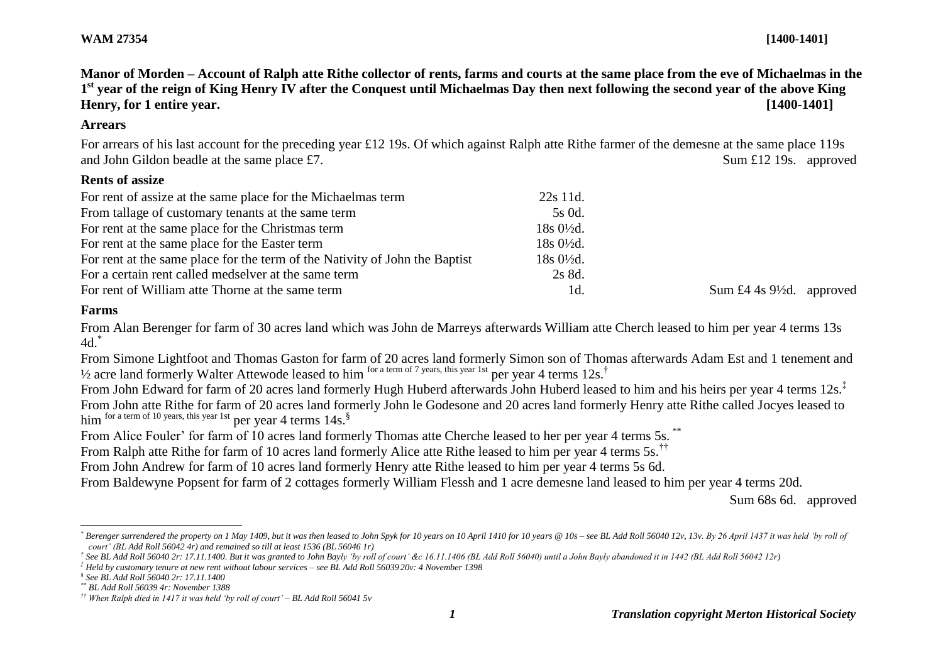**Manor of Morden – Account of Ralph atte Rithe collector of rents, farms and courts at the same place from the eve of Michaelmas in the 1 st year of the reign of King Henry IV after the Conquest until Michaelmas Day then next following the second year of the above King Henry, for 1 entire year. [1400-1401]**

#### **Arrears**

For arrears of his last account for the preceding year £12 19s. Of which against Ralph atte Rithe farmer of the demesne at the same place 119s and John Gildon beadle at the same place £7. Sum £12 19s. approved

## **Rents of assize**

| For rent of assize at the same place for the Michaelmas term                | 22s 11d.               |                                      |
|-----------------------------------------------------------------------------|------------------------|--------------------------------------|
| From tallage of customary tenants at the same term                          | 5s 0d.                 |                                      |
| For rent at the same place for the Christmas term                           | $18s\ 0\frac{1}{2}d$ . |                                      |
| For rent at the same place for the Easter term                              | $18s\ 0\frac{1}{2}d$ . |                                      |
| For rent at the same place for the term of the Nativity of John the Baptist | $18s\ 0\frac{1}{2}d$ . |                                      |
| For a certain rent called medselver at the same term                        | 2s 8d.                 |                                      |
| For rent of William atte Thorne at the same term                            | 1d.                    | Sum £4 4s $9\frac{1}{2}d$ . approved |

## **Farms**

From Alan Berenger for farm of 30 acres land which was John de Marreys afterwards William atte Cherch leased to him per year 4 terms 13s 4d.\*

From Simone Lightfoot and Thomas Gaston for farm of 20 acres land formerly Simon son of Thomas afterwards Adam Est and 1 tenement and <sup>1/2</sup> acre land formerly Walter Attewode leased to him <sup>for a term of 7 years, this year 1st per year 4 terms  $12s$ .<sup>†</sup></sup>

From John Edward for farm of 20 acres land formerly Hugh Huberd afterwards John Huberd leased to him and his heirs per year 4 terms 12s.<sup>‡</sup> From John atte Rithe for farm of 20 acres land formerly John le Godesone and 20 acres land formerly Henry atte Rithe called Jocyes leased to him for a term of 10 years, this year 1st per year 4 terms 14s.<sup>§</sup>

From Alice Fouler' for farm of 10 acres land formerly Thomas atte Cherche leased to her per year 4 terms 5s. \*\*

From Ralph atte Rithe for farm of 10 acres land formerly Alice atte Rithe leased to him per year 4 terms 5s.<sup>††</sup>

From John Andrew for farm of 10 acres land formerly Henry atte Rithe leased to him per year 4 terms 5s 6d.

From Baldewyne Popsent for farm of 2 cottages formerly William Flessh and 1 acre demesne land leased to him per year 4 terms 20d.

Sum 68s 6d. approved

*† See BL Add Roll 56040 2r: 17.11.1400. But it was granted to John Bayly 'by roll of court' &c 16.11.1406 (BL Add Roll 56040) until a John Bayly abandoned it in 1442 (BL Add Roll 56042 12r)*

 $\overline{a}$ Berenger surrendered the property on 1 May 1409, but it was then leased to John Spyk for 10 years on 10 April 1410 for 10 years @ 10s - see BL Add Roll 56040 12y, 13y, By 26 April 1437 it was held 'by roll of *court' (BL Add Roll 56042 4r) and remained so till at least 1536 (BL 56046 1r)*

*<sup>‡</sup> Held by customary tenure at new rent without labour services – see BL Add Roll 56039 20v: 4 November 1398*

*<sup>§</sup> See BL Add Roll 56040 2r: 17.11.1400*

*<sup>\*\*</sup> BL Add Roll 56039 4r: November 1388*

*<sup>††</sup> When Ralph died in 1417 it was held 'by roll of court' – BL Add Roll 56041 5v*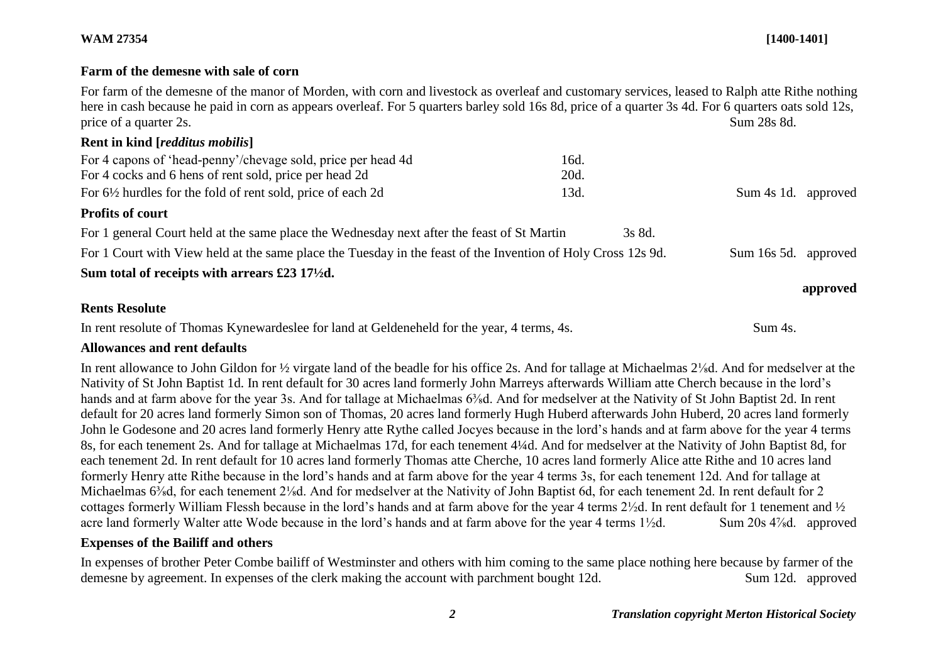## **WAM 27354 [1400-1401]**

## **Farm of the demesne with sale of corn**

For farm of the demesne of the manor of Morden, with corn and livestock as overleaf and customary services, leased to Ralph atte Rithe nothing here in cash because he paid in corn as appears overleaf. For 5 quarters barley sold 16s 8d, price of a quarter 3s 4d. For 6 quarters oats sold 12s, price of a quarter 2s. Sum 28s 8d. **Rent in kind [***redditus mobilis***]**

| For 4 capons of 'head-penny'/chevage sold, price per head 4d                                                 | 16d.   |             |          |
|--------------------------------------------------------------------------------------------------------------|--------|-------------|----------|
| For 4 cocks and 6 hens of rent sold, price per head 2d                                                       | 20d.   |             |          |
| For 6½ hurdles for the fold of rent sold, price of each 2d                                                   | 13d.   | Sum 4s 1d.  | approved |
| <b>Profits of court</b>                                                                                      |        |             |          |
| For 1 general Court held at the same place the Wednesday next after the feast of St Martin                   | 3s 8d. |             |          |
| For 1 Court with View held at the same place the Tuesday in the feast of the Invention of Holy Cross 12s 9d. |        | Sum 16s 5d. | approved |
| Sum total of receipts with arrears £23 17 $\frac{1}{2}$ d.                                                   |        |             |          |
|                                                                                                              |        |             | approved |

## **Rents Resolute**

In rent resolute of Thomas Kynewardeslee for land at Geldeneheld for the year, 4 terms, 4s. Sum 4s.

## **Allowances and rent defaults**

In rent allowance to John Gildon for ½ virgate land of the beadle for his office 2s. And for tallage at Michaelmas 2⅛d. And for medselver at the Nativity of St John Baptist 1d. In rent default for 30 acres land formerly John Marreys afterwards William atte Cherch because in the lord's hands and at farm above for the year 3s. And for tallage at Michaelmas 6<sup>3</sup>/<sub>8</sub>d. And for medselver at the Nativity of St John Baptist 2d. In rent default for 20 acres land formerly Simon son of Thomas, 20 acres land formerly Hugh Huberd afterwards John Huberd, 20 acres land formerly John le Godesone and 20 acres land formerly Henry atte Rythe called Jocyes because in the lord's hands and at farm above for the year 4 terms 8s, for each tenement 2s. And for tallage at Michaelmas 17d, for each tenement 4¼d. And for medselver at the Nativity of John Baptist 8d, for each tenement 2d. In rent default for 10 acres land formerly Thomas atte Cherche, 10 acres land formerly Alice atte Rithe and 10 acres land formerly Henry atte Rithe because in the lord's hands and at farm above for the year 4 terms 3s, for each tenement 12d. And for tallage at Michaelmas 6<sup>3</sup>/<sub>8</sub>d, for each tenement 2<sup>1</sup>/<sub>8</sub>d. And for medselver at the Nativity of John Baptist 6d, for each tenement 2d. In rent default for 2 cottages formerly William Flessh because in the lord's hands and at farm above for the year 4 terms 2½d. In rent default for 1 tenement and ½ acre land formerly Walter atte Wode because in the lord's hands and at farm above for the year 4 terms  $1\frac{1}{2}d$ . Sum 20s  $4\frac{7}{8}d$ . approved

## **Expenses of the Bailiff and others**

In expenses of brother Peter Combe bailiff of Westminster and others with him coming to the same place nothing here because by farmer of the demesne by agreement. In expenses of the clerk making the account with parchment bought 12d. Sum 12d. approved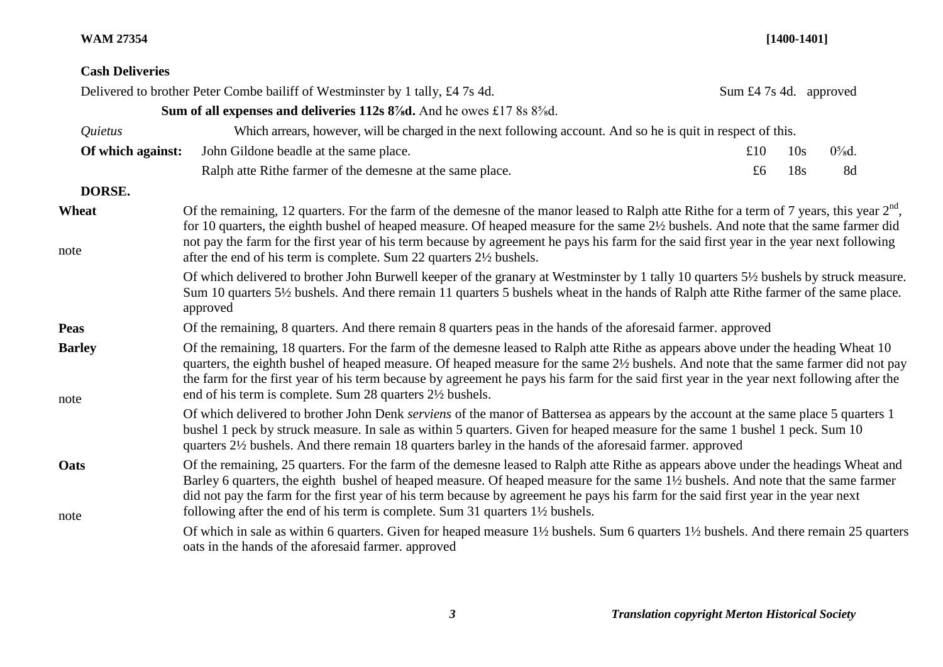## **WAM 27354 [1400-1401]**

# **Cash Deliveries**

|                       | Delivered to brother Peter Combe bailiff of Westminster by 1 tally, £4 7s 4d.                                                                                                                                                                                                                                                                                                                                                                                                                                            | Sum £4 7s 4d. approved |     |          |
|-----------------------|--------------------------------------------------------------------------------------------------------------------------------------------------------------------------------------------------------------------------------------------------------------------------------------------------------------------------------------------------------------------------------------------------------------------------------------------------------------------------------------------------------------------------|------------------------|-----|----------|
|                       | Sum of all expenses and deliveries 112s 8% d. And he owes £17 8s 8% d.                                                                                                                                                                                                                                                                                                                                                                                                                                                   |                        |     |          |
| Quietus               | Which arrears, however, will be charged in the next following account. And so he is quit in respect of this.                                                                                                                                                                                                                                                                                                                                                                                                             |                        |     |          |
| Of which against:     | John Gildone beadle at the same place.                                                                                                                                                                                                                                                                                                                                                                                                                                                                                   | £ $101$                | 10s | $0\%$ d. |
|                       | Ralph atte Rithe farmer of the demesne at the same place.                                                                                                                                                                                                                                                                                                                                                                                                                                                                | £6                     | 18s | 8d       |
| DORSE.                |                                                                                                                                                                                                                                                                                                                                                                                                                                                                                                                          |                        |     |          |
| Wheat<br>note         | Of the remaining, 12 quarters. For the farm of the demesne of the manor leased to Ralph atte Rithe for a term of 7 years, this year $2^{nd}$ ,<br>for 10 quarters, the eighth bushel of heaped measure. Of heaped measure for the same 2½ bushels. And note that the same farmer did<br>not pay the farm for the first year of his term because by agreement he pays his farm for the said first year in the year next following<br>after the end of his term is complete. Sum 22 quarters 21/2 bushels.                 |                        |     |          |
|                       | Of which delivered to brother John Burwell keeper of the granary at Westminster by 1 tally 10 quarters 5½ bushels by struck measure.<br>Sum 10 quarters 5½ bushels. And there remain 11 quarters 5 bushels wheat in the hands of Ralph atte Rithe farmer of the same place.<br>approved                                                                                                                                                                                                                                  |                        |     |          |
| <b>Peas</b>           | Of the remaining, 8 quarters. And there remain 8 quarters peas in the hands of the aforesaid farmer. approved                                                                                                                                                                                                                                                                                                                                                                                                            |                        |     |          |
| <b>Barley</b><br>note | Of the remaining, 18 quarters. For the farm of the demesne leased to Ralph atte Rithe as appears above under the heading Wheat 10<br>quarters, the eighth bushel of heaped measure. Of heaped measure for the same 2½ bushels. And note that the same farmer did not pay<br>the farm for the first year of his term because by agreement he pays his farm for the said first year in the year next following after the<br>end of his term is complete. Sum 28 quarters 2½ bushels.                                       |                        |     |          |
|                       | Of which delivered to brother John Denk serviens of the manor of Battersea as appears by the account at the same place 5 quarters 1<br>bushel 1 peck by struck measure. In sale as within 5 quarters. Given for heaped measure for the same 1 bushel 1 peck. Sum 10<br>quarters 2½ bushels. And there remain 18 quarters barley in the hands of the aforesaid farmer. approved                                                                                                                                           |                        |     |          |
| Oats<br>note          | Of the remaining, 25 quarters. For the farm of the demesne leased to Ralph atte Rithe as appears above under the headings Wheat and<br>Barley 6 quarters, the eighth bushel of heaped measure. Of heaped measure for the same 1½ bushels. And note that the same farmer<br>did not pay the farm for the first year of his term because by agreement he pays his farm for the said first year in the year next<br>following after the end of his term is complete. Sum 31 quarters 1 <sup>1</sup> / <sub>2</sub> bushels. |                        |     |          |
|                       | Of which in sale as within 6 quarters. Given for heaped measure 1½ bushels. Sum 6 quarters 1½ bushels. And there remain 25 quarters<br>oats in the hands of the aforesaid farmer. approved                                                                                                                                                                                                                                                                                                                               |                        |     |          |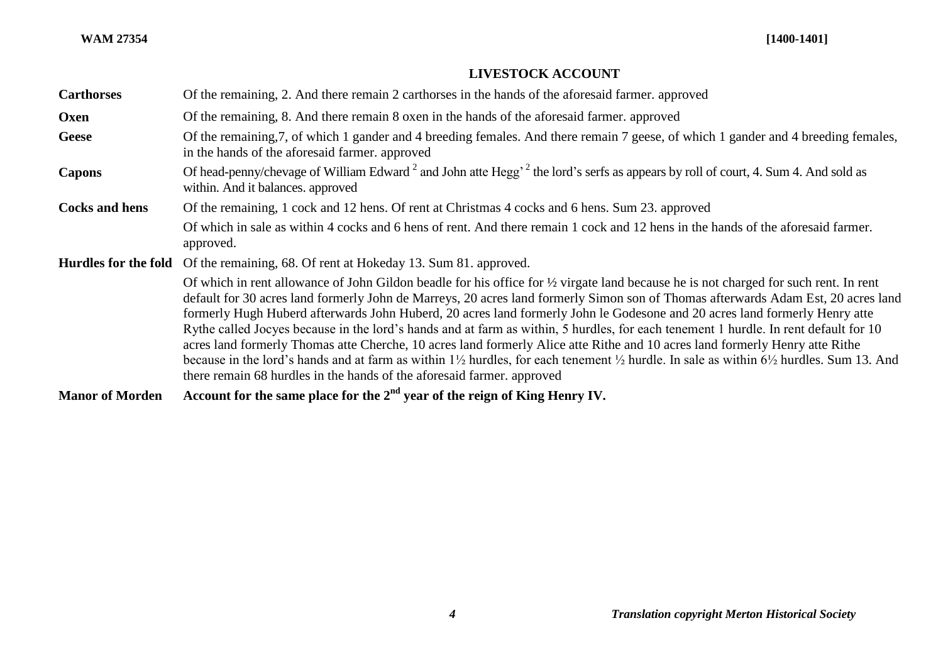| <b>LIVESTOCK ACCOUNT</b> |  |
|--------------------------|--|
|--------------------------|--|

| <b>Carthorses</b>      | Of the remaining, 2. And there remain 2 carthorses in the hands of the aforesaid farmer. approved                                                                                                                                                                                                                                                                                                                                                                                                                                                                                                                                                                                                                                                                                                                                                                                                                                               |
|------------------------|-------------------------------------------------------------------------------------------------------------------------------------------------------------------------------------------------------------------------------------------------------------------------------------------------------------------------------------------------------------------------------------------------------------------------------------------------------------------------------------------------------------------------------------------------------------------------------------------------------------------------------------------------------------------------------------------------------------------------------------------------------------------------------------------------------------------------------------------------------------------------------------------------------------------------------------------------|
| Oxen                   | Of the remaining, 8. And there remain 8 oxen in the hands of the aforesaid farmer. approved                                                                                                                                                                                                                                                                                                                                                                                                                                                                                                                                                                                                                                                                                                                                                                                                                                                     |
| <b>Geese</b>           | Of the remaining, 7, of which 1 gander and 4 breeding females. And there remain 7 geese, of which 1 gander and 4 breeding females,<br>in the hands of the aforesaid farmer, approved                                                                                                                                                                                                                                                                                                                                                                                                                                                                                                                                                                                                                                                                                                                                                            |
| <b>Capons</b>          | Of head-penny/chevage of William Edward <sup>2</sup> and John atte Hegg <sup>2</sup> the lord's serfs as appears by roll of court, 4. Sum 4. And sold as<br>within. And it balances. approved                                                                                                                                                                                                                                                                                                                                                                                                                                                                                                                                                                                                                                                                                                                                                   |
| <b>Cocks and hens</b>  | Of the remaining, 1 cock and 12 hens. Of rent at Christmas 4 cocks and 6 hens. Sum 23. approved                                                                                                                                                                                                                                                                                                                                                                                                                                                                                                                                                                                                                                                                                                                                                                                                                                                 |
|                        | Of which in sale as within 4 cocks and 6 hens of rent. And there remain 1 cock and 12 hens in the hands of the aforesaid farmer.<br>approved.                                                                                                                                                                                                                                                                                                                                                                                                                                                                                                                                                                                                                                                                                                                                                                                                   |
| Hurdles for the fold   | Of the remaining, 68. Of rent at Hokeday 13. Sum 81. approved.                                                                                                                                                                                                                                                                                                                                                                                                                                                                                                                                                                                                                                                                                                                                                                                                                                                                                  |
|                        | Of which in rent allowance of John Gildon beadle for his office for $\frac{1}{2}$ virgate land because he is not charged for such rent. In rent<br>default for 30 acres land formerly John de Marreys, 20 acres land formerly Simon son of Thomas afterwards Adam Est, 20 acres land<br>formerly Hugh Huberd afterwards John Huberd, 20 acres land formerly John le Godesone and 20 acres land formerly Henry atte<br>Rythe called Jocyes because in the lord's hands and at farm as within, 5 hurdles, for each tenement 1 hurdle. In rent default for 10<br>acres land formerly Thomas atte Cherche, 10 acres land formerly Alice atte Rithe and 10 acres land formerly Henry atte Rithe<br>because in the lord's hands and at farm as within $1\frac{1}{2}$ hurdles, for each tenement $\frac{1}{2}$ hurdle. In sale as within $6\frac{1}{2}$ hurdles. Sum 13. And<br>there remain 68 hurdles in the hands of the aforesaid farmer. approved |
| <b>Manor of Morden</b> | Account for the same place for the $2nd$ year of the reign of King Henry IV.                                                                                                                                                                                                                                                                                                                                                                                                                                                                                                                                                                                                                                                                                                                                                                                                                                                                    |